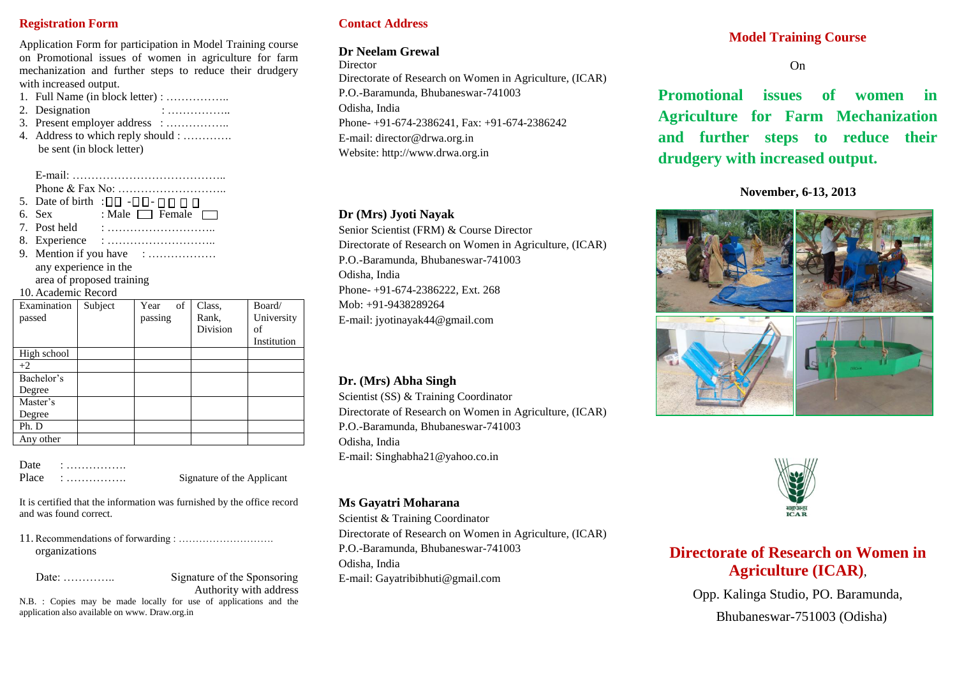# **Registration Form**

Application Form for participation in Model Training course on Promotional issues of women in agriculture for farm mechanization and further steps to reduce their drudgery with increased output.

- 1. Full Name (in block letter) : ……………..
- 2. Designation : ………………
- 3. Present employer address : …………….. 4. Address to which reply should : …………. be sent (in block letter)

E-mail: ………………………………….. Phone & Fax No: ……………………….. 5. Date of birth :  $\Box$  $\Box$  - $\Box$  $\Box$  - $\Box$  $\Box$   $\Box$ 6. Sex : Male  $\Box$  Female  $\Box$  $7.$  Post held  $\cdot$ 8. Experience : ………………………..

9. Mention if you have : ……………… any experience in the

# area of proposed training

## 10. Academic Record

| Examination | Subject | of<br>Year | Class,   | Board/      |
|-------------|---------|------------|----------|-------------|
| passed      |         | passing    | Rank,    | University  |
|             |         |            | Division | of          |
|             |         |            |          | Institution |
| High school |         |            |          |             |
| $+2$        |         |            |          |             |
| Bachelor's  |         |            |          |             |
| Degree      |         |            |          |             |
| Master's    |         |            |          |             |
| Degree      |         |            |          |             |
| Ph. D       |         |            |          |             |
| Any other   |         |            |          |             |

| Date  |  |  | . |  |  |  |  | . |  |
|-------|--|--|---|--|--|--|--|---|--|
| Place |  |  |   |  |  |  |  |   |  |

Place : ……………. Signature of the Applicant

It is certified that the information was furnished by the office record and was found correct.

11. Recommendations of forwarding : ………………………. organizations

Date: ………….. Signature of the Sponsoring Authority with address

N.B. : Copies may be made locally for use of applications and the application also available on www. Draw.org.in

# **Contact Address**

# **Dr Neelam Grewal**

**Director** 

Directorate of Research on Women in Agriculture, (ICAR) P.O.-Baramunda, Bhubaneswar-741003 Odisha, India Phone- +91-674-2386241, Fax: +91-674-2386242 E-mail: director@drwa.org.in Website: http://www.drwa.org.in

# **Dr (Mrs) Jyoti Nayak**

Senior Scientist (FRM) & Course Director Directorate of Research on Women in Agriculture, (ICAR) P.O.-Baramunda, Bhubaneswar-741003 Odisha, India Phone- +91-674-2386222, Ext. 268 Mob: +91-9438289264 E-mail: jyotinayak44@gmail.com

# **Dr. (Mrs) Abha Singh**

Scientist (SS) & Training Coordinator Directorate of Research on Women in Agriculture, (ICAR) P.O.-Baramunda, Bhubaneswar-741003 Odisha, India E-mail: Singhabha21@yahoo.co.in

# **Ms Gayatri Moharana**

Scientist & Training Coordinator Directorate of Research on Women in Agriculture, (ICAR) P.O.-Baramunda, Bhubaneswar-741003 Odisha, India E-mail: Gayatribibhuti@gmail.com

# **Model Training Course**

On

**Promotional issues of women in Agriculture for Farm Mechanization and further steps to reduce their drudgery with increased output.**

## **November, 6-13, 2013**





# **Directorate of Research on Women in Agriculture (ICAR)**,

Opp. Kalinga Studio, PO. Baramunda,

Bhubaneswar-751003 (Odisha)